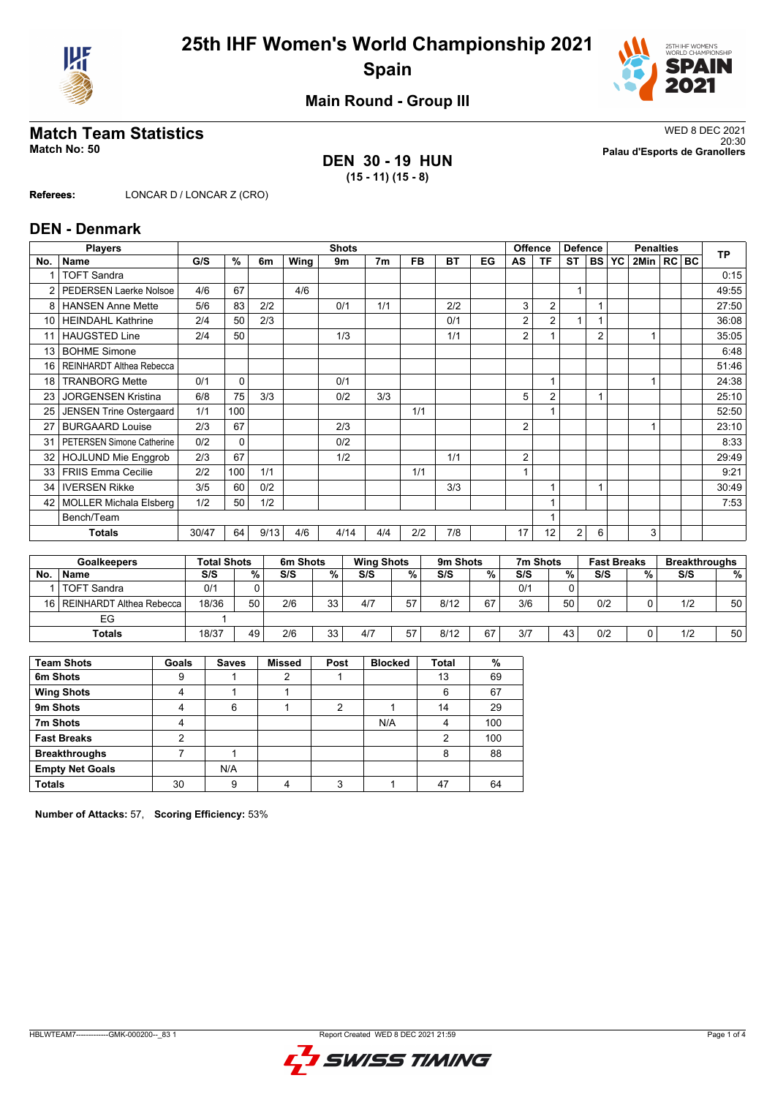



**Main Round - Group III**

## **DEN 30 - 19 HUN (15 - 11) (15 - 8)**

**Match Team Statistics** WED 8 DEC 2021 20:30 **Match No: 50 Palau d'Esports de Granollers**

**Referees:** LONCAR D / LONCAR Z (CRO)

#### **DEN - Denmark**

|     | <b>Players</b>                   |     | <b>Shots</b> |      |      |      |                |           |           |    |                         | <b>Offence</b><br><b>Defence</b> |                |                | <b>Penalties</b> |              |  |  | <b>TP</b> |
|-----|----------------------------------|-----|--------------|------|------|------|----------------|-----------|-----------|----|-------------------------|----------------------------------|----------------|----------------|------------------|--------------|--|--|-----------|
| No. | <b>Name</b>                      | G/S | $\%$         | 6m   | Wing | 9m   | 7 <sub>m</sub> | <b>FB</b> | <b>BT</b> | EG | AS                      | <b>TF</b>                        | <b>ST</b>      |                | <b>BS YC</b>     | 2Min   RC BC |  |  |           |
|     | <b>TOFT Sandra</b>               |     |              |      |      |      |                |           |           |    |                         |                                  |                |                |                  |              |  |  | 0:15      |
| 2   | <b>PEDERSEN Laerke Nolsoe</b>    | 4/6 | 67           |      | 4/6  |      |                |           |           |    |                         |                                  | $\overline{1}$ |                |                  |              |  |  | 49:55     |
| 8   | <b>HANSEN Anne Mette</b>         | 5/6 | 83           | 2/2  |      | 0/1  | 1/1            |           | 2/2       |    | 3                       | $\overline{2}$                   |                |                |                  |              |  |  | 27:50     |
| 10  | <b>HEINDAHL Kathrine</b>         | 2/4 | 50           | 2/3  |      |      |                |           | 0/1       |    | 2                       | $\overline{2}$                   | 1              |                |                  |              |  |  | 36:08     |
| 11  | <b>HAUGSTED Line</b>             | 2/4 | 50           |      |      | 1/3  |                |           | 1/1       |    | 2                       |                                  |                | $\overline{2}$ |                  |              |  |  | 35:05     |
| 13  | <b>BOHME Simone</b>              |     |              |      |      |      |                |           |           |    |                         |                                  |                |                |                  |              |  |  | 6:48      |
| 16  | REINHARDT Althea Rebecca         |     |              |      |      |      |                |           |           |    |                         |                                  |                |                |                  |              |  |  | 51:46     |
| 18  | <b>TRANBORG Mette</b>            | 0/1 | 0            |      |      | 0/1  |                |           |           |    |                         |                                  |                |                |                  |              |  |  | 24:38     |
| 23  | <b>JORGENSEN Kristina</b>        | 6/8 | 75           | 3/3  |      | 0/2  | 3/3            |           |           |    | 5                       | $\overline{2}$                   |                |                |                  |              |  |  | 25:10     |
| 25  | <b>JENSEN Trine Ostergaard</b>   | 1/1 | 100          |      |      |      |                | 1/1       |           |    |                         |                                  |                |                |                  |              |  |  | 52:50     |
| 27  | <b>BURGAARD Louise</b>           | 2/3 | 67           |      |      | 2/3  |                |           |           |    | 2                       |                                  |                |                |                  |              |  |  | 23:10     |
| 31  | <b>PETERSEN Simone Catherine</b> | 0/2 | 0            |      |      | 0/2  |                |           |           |    |                         |                                  |                |                |                  |              |  |  | 8:33      |
| 32  | <b>HOJLUND Mie Enggrob</b>       | 2/3 | 67           |      |      | 1/2  |                |           | 1/1       |    | $\overline{2}$          |                                  |                |                |                  |              |  |  | 29:49     |
| 33  | <b>FRIIS Emma Cecilie</b>        | 2/2 | 100          | 1/1  |      |      |                | 1/1       |           |    | $\overline{\mathbf{A}}$ |                                  |                |                |                  |              |  |  | 9:21      |
| 34  | <b>IVERSEN Rikke</b>             | 3/5 | 60           | 0/2  |      |      |                |           | 3/3       |    |                         |                                  |                |                |                  |              |  |  | 30:49     |
| 42  | <b>MOLLER Michala Elsberg</b>    | 1/2 | 50           | 1/2  |      |      |                |           |           |    |                         |                                  |                |                |                  |              |  |  | 7:53      |
|     | Bench/Team                       |     |              |      |      |      |                |           |           |    |                         |                                  |                |                |                  |              |  |  |           |
|     | <b>Totals</b>                    |     | 64           | 9/13 | 4/6  | 4/14 | 4/4            | 2/2       | 7/8       |    | 17                      | 12                               | 2              | 6              |                  | 3            |  |  |           |
|     |                                  |     |              |      |      |      |                |           |           |    |                         |                                  |                |                |                  |              |  |  |           |

| <b>Goalkeepers</b> |                               | <b>Total Shots</b> |    | 6m Shots | <b>Wing Shots</b> |     | 9m Shots |      |    | 7m Shots |    | <b>Fast Breaks</b> |   | <b>Breakthroughs</b> |                 |
|--------------------|-------------------------------|--------------------|----|----------|-------------------|-----|----------|------|----|----------|----|--------------------|---|----------------------|-----------------|
| No.                | <b>Name</b>                   | S/S                | %  | S/S      | %                 | S/S | %        | S/S  | %  | S/S      | %  | S/S                | % | S/S                  | %               |
|                    | <b>TOFT Sandra</b>            | 0/1                |    |          |                   |     |          |      |    | 0/1      |    |                    |   |                      |                 |
|                    | 16   REINHARDT Althea Rebecca | 18/36              | 50 | 2/6      | 33                | 4/7 | 57       | 8/12 | 67 | 3/6      | 50 | 0/2                |   | 1/2                  | 50 <sub>1</sub> |
| EG                 |                               |                    |    |          |                   |     |          |      |    |          |    |                    |   |                      |                 |
| <b>Totals</b>      |                               | 18/37              | 49 | 2/6      | 33                | 4/7 | 57       | 8/12 | 67 | 3/7      | 43 | 0/2                |   | 1/2                  | 50 <sub>1</sub> |

| <b>Team Shots</b>      | Goals | <b>Saves</b> | <b>Missed</b> | Post | <b>Blocked</b> | Total | %   |
|------------------------|-------|--------------|---------------|------|----------------|-------|-----|
| 6m Shots               | 9     |              |               |      |                | 13    | 69  |
| <b>Wing Shots</b>      |       |              |               |      |                | 6     | 67  |
| 9m Shots               |       | 6            |               | ົ    |                | 14    | 29  |
| 7m Shots               |       |              |               |      | N/A            | 4     | 100 |
| <b>Fast Breaks</b>     | າ     |              |               |      |                | 2     | 100 |
| <b>Breakthroughs</b>   |       |              |               |      |                | 8     | 88  |
| <b>Empty Net Goals</b> |       | N/A          |               |      |                |       |     |
| <b>Totals</b>          | 30    | 9            |               | 3    |                | 47    | 64  |

**Number of Attacks:** 57, **Scoring Efficiency:** 53%

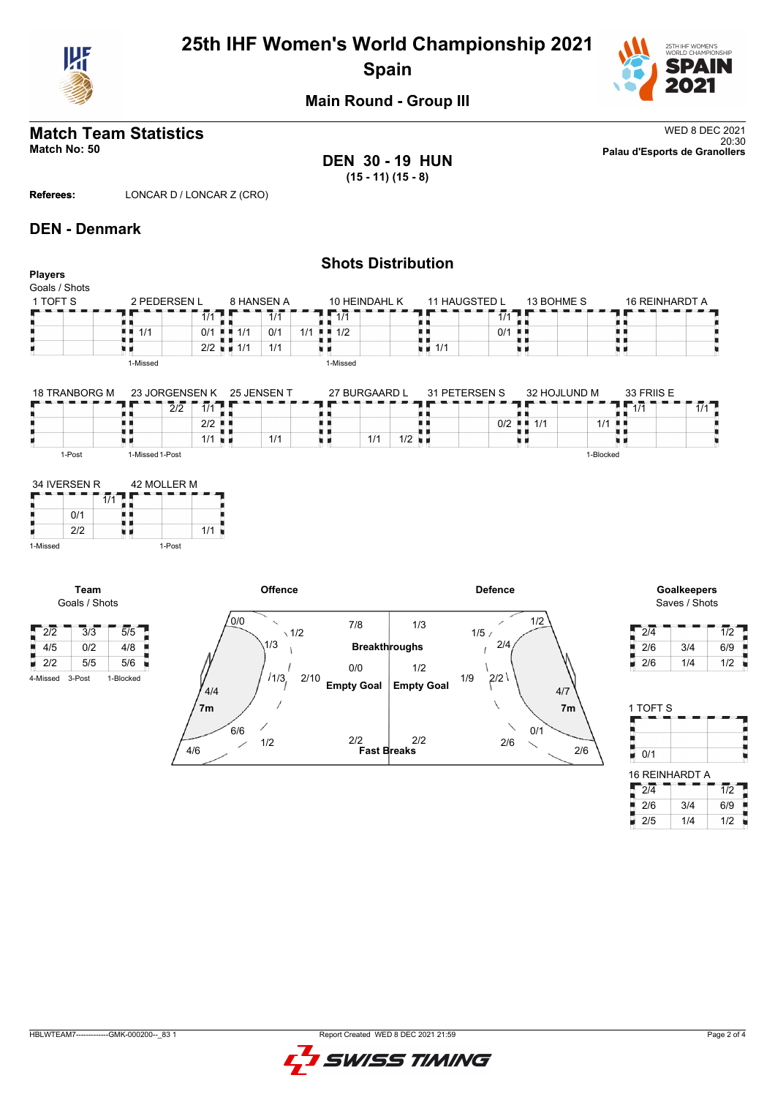

# **25th IHF Women's World Championship 2021 Spain**



**Main Round - Group III**

# **Match Team Statistics** WED 8 DEC 2021

**DEN 30 - 19 HUN (15 - 11) (15 - 8)**

**Shots Distribution**

20:30 **Match No: 50 Palau d'Esports de Granollers**

**Referees:** LONCAR D / LONCAR Z (CRO)

#### **DEN - Denmark**

#### **Players** Goals / Shots 1 TOFT S 2 PEDERSEN L 8 HANSEN A 10 HEINDAHL K 11 HAUGSTED L 13 BOHME S 16 REINHARDT A  $\frac{1}{1/1}$ 171 TЕ  $7/1$ 11<br>11 1/1<br>11 1<sup>1/1</sup>  $1/1$ 11<br>11<br>11 1/1 89, A A  $\frac{1}{2}$  1/2  $0/1$   $\blacksquare$ ă,  $1/1$  0/1 1/1 u p 2/2 1/1 1/1 原则 ù. υø 1-Missed 1-Missed 27 BURGAARD L 31 PETERSEN S 32 HOJLUND M 33 FRIIS E 18 TRANBORG M 23 JORGENSEN K 25 JENSEN T  $\frac{2}{2}$   $\frac{7}{1}$   $\frac{7}{1}$   $\frac{7}{1}$   $\frac{7}{1}$  $1.17 - 1.11$ п ٦F ÷ ÄЦ ł. ł. ш д  $\frac{1}{11}$  1/1 1/1 0 0/2 n e  $\vert$  2/2  $1/1$   $1/2$ 1/1  $1/1$ u s ٠ u e

1-Post 1-Missed 1-Post

|          | 34 IVERSEN R | 42 MOLLER M |        |     |  |  |  |  |
|----------|--------------|-------------|--------|-----|--|--|--|--|
|          |              |             |        |     |  |  |  |  |
|          | 0/1          |             |        |     |  |  |  |  |
|          | 212          |             |        | 1/1 |  |  |  |  |
| 1-Missed |              |             | 1-Post |     |  |  |  |  |

**Team** Goals / Shots





1-Blocked

| 2/4 |     | 1/2 |
|-----|-----|-----|
| 2/6 | 3/4 | 6/9 |
| 2/6 | 1/4 | 1/2 |

| 1 TOFT S         |     |                  |
|------------------|-----|------------------|
|                  |     |                  |
|                  |     |                  |
| 0/1              |     |                  |
| 16 REINHARDT A   |     |                  |
| $\overline{2 4}$ |     | $\overline{1/2}$ |
| 2/6              | 314 | 6/9              |

 $2/5$  1/4 1/2



H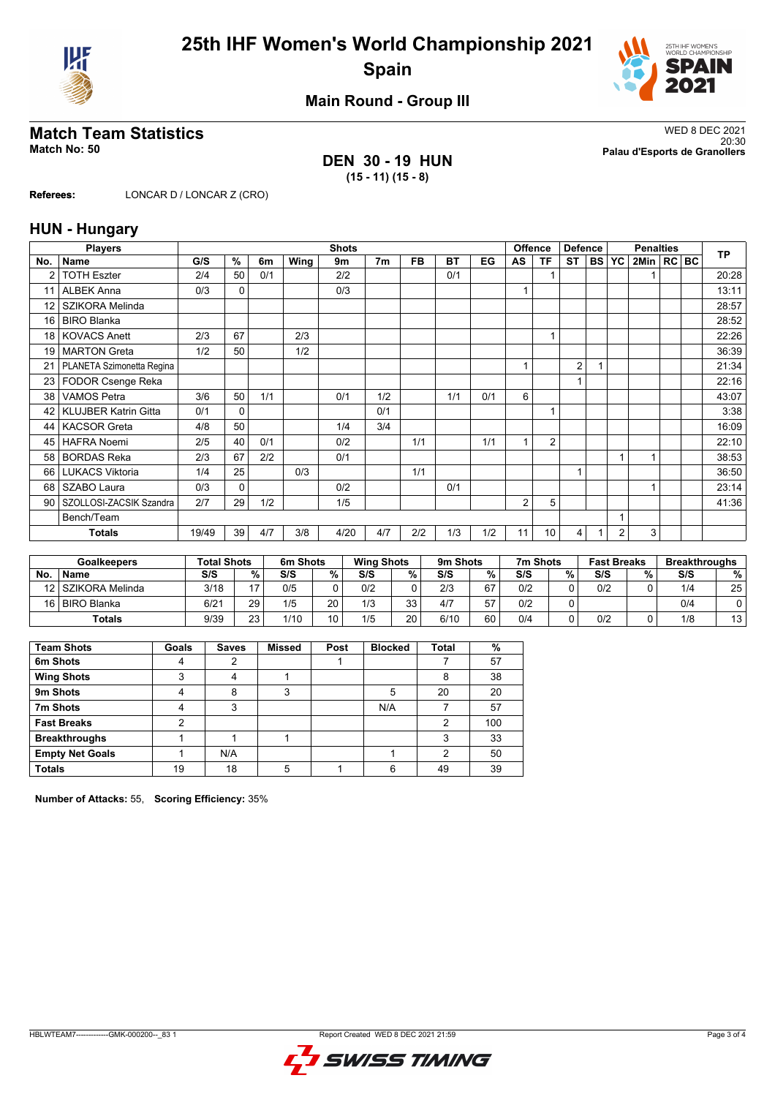



**Main Round - Group III**

## **DEN 30 - 19 HUN (15 - 11) (15 - 8)**

**Match Team Statistics** WED 8 DEC 2021 20:30 **Match No: 50 Palau d'Esports de Granollers**

**Referees:** LONCAR D / LONCAR Z (CRO)

### **HUN - Hungary**

|                 | <b>Players</b>              | <b>Shots</b> |              |     |      |      |                |           |           |     |                | <b>Offence</b> | <b>Defence</b> |           | <b>Penalties</b> |              |  |  | <b>TP</b> |
|-----------------|-----------------------------|--------------|--------------|-----|------|------|----------------|-----------|-----------|-----|----------------|----------------|----------------|-----------|------------------|--------------|--|--|-----------|
| No.             | <b>Name</b>                 | G/S          | %            | 6m  | Wing | 9m   | 7 <sub>m</sub> | <b>FB</b> | <b>BT</b> | EG  | AS             | <b>TF</b>      | <b>ST</b>      | <b>BS</b> | <b>YC</b>        | 2Min   RC BC |  |  |           |
| 2               | <b>TOTH Eszter</b>          | 2/4          | 50           | 0/1 |      | 2/2  |                |           | 0/1       |     |                |                |                |           |                  |              |  |  | 20:28     |
| 11              | <b>ALBEK Anna</b>           | 0/3          | $\mathbf{0}$ |     |      | 0/3  |                |           |           |     | 1              |                |                |           |                  |              |  |  | 13:11     |
| 12              | SZIKORA Melinda             |              |              |     |      |      |                |           |           |     |                |                |                |           |                  |              |  |  | 28:57     |
| 16              | <b>BIRO Blanka</b>          |              |              |     |      |      |                |           |           |     |                |                |                |           |                  |              |  |  | 28:52     |
| 18 <sup>1</sup> | <b>KOVACS Anett</b>         | 2/3          | 67           |     | 2/3  |      |                |           |           |     |                |                |                |           |                  |              |  |  | 22:26     |
| 19 <sup>1</sup> | <b>MARTON</b> Greta         | 1/2          | 50           |     | 1/2  |      |                |           |           |     |                |                |                |           |                  |              |  |  | 36:39     |
| 21              | PLANETA Szimonetta Regina   |              |              |     |      |      |                |           |           |     |                |                | $\overline{2}$ |           |                  |              |  |  | 21:34     |
| 23              | FODOR Csenge Reka           |              |              |     |      |      |                |           |           |     |                |                |                |           |                  |              |  |  | 22:16     |
| 38              | <b>VAMOS Petra</b>          | 3/6          | 50           | 1/1 |      | 0/1  | 1/2            |           | 1/1       | 0/1 | 6              |                |                |           |                  |              |  |  | 43:07     |
| 42 <sub>1</sub> | <b>KLUJBER Katrin Gitta</b> | 0/1          | $\mathbf{0}$ |     |      |      | 0/1            |           |           |     |                |                |                |           |                  |              |  |  | 3:38      |
| 44              | <b>KACSOR Greta</b>         | 4/8          | 50           |     |      | 1/4  | 3/4            |           |           |     |                |                |                |           |                  |              |  |  | 16:09     |
| 45              | <b>HAFRA Noemi</b>          | 2/5          | 40           | 0/1 |      | 0/2  |                | 1/1       |           | 1/1 | 1              | $\overline{2}$ |                |           |                  |              |  |  | 22:10     |
| 58 <sup>1</sup> | <b>BORDAS Reka</b>          | 2/3          | 67           | 2/2 |      | 0/1  |                |           |           |     |                |                |                |           | 1                |              |  |  | 38:53     |
| 66              | <b>LUKACS Viktoria</b>      | 1/4          | 25           |     | 0/3  |      |                | 1/1       |           |     |                |                | 1              |           |                  |              |  |  | 36:50     |
| 68              | <b>SZABO Laura</b>          | 0/3          | 0            |     |      | 0/2  |                |           | 0/1       |     |                |                |                |           |                  |              |  |  | 23:14     |
| 90 <sub>1</sub> | SZOLLOSI-ZACSIK Szandra     | 2/7          | 29           | 1/2 |      | 1/5  |                |           |           |     | $\overline{2}$ | 5              |                |           |                  |              |  |  | 41:36     |
| Bench/Team      |                             |              |              |     |      |      |                |           |           |     |                |                |                |           |                  |              |  |  |           |
|                 | <b>Totals</b>               | 19/49        | 39           | 4/7 | 3/8  | 4/20 | 4/7            | 2/2       | 1/3       | 1/2 | 11             | 10             | 4              |           | $\overline{2}$   | 3            |  |  |           |

| <b>Goalkeepers</b> |                    | <b>Total Shots</b> |        | 6m Shots |      | <b>Wing Shots</b> |          | 9m Shots |    | 7m Shots |   | <b>Fast Breaks</b> |   | <b>Breakthroughs</b> |    |
|--------------------|--------------------|--------------------|--------|----------|------|-------------------|----------|----------|----|----------|---|--------------------|---|----------------------|----|
| No                 | <b>Name</b>        | S/S                | $\%$ . | S/S      | $\%$ | S/S               | %        | S/S      | %  | S/S      | % | S/S                | % | S/S                  | %  |
|                    | 12 SZIKORA Melinda | 3/18               | 17     | 0/5      |      | 0/2               |          | 2/3      | 67 | 0/2      |   | 0/2                |   | 1/4                  | 25 |
|                    | 16 BIRO Blanka     | 6/21               | 29     | 1/5      | 20   | 1/3               | วว<br>JU | 4/7      | 57 | 0/2      |   |                    |   | 0/4                  |    |
| Totals             |                    | 9/39               | 23     | 1/10     | 10   | 1/5               | 20       | 6/10     | 60 | 0/4      |   | 0/2                |   | 1/8                  | 13 |

| <b>Team Shots</b>      | Goals | <b>Saves</b> | <b>Missed</b> | Post | <b>Blocked</b> | <b>Total</b> | $\%$ |
|------------------------|-------|--------------|---------------|------|----------------|--------------|------|
| 6m Shots               |       | າ            |               |      |                |              | 57   |
| <b>Wing Shots</b>      | 3     |              |               |      |                | 8            | 38   |
| 9m Shots               | 4     | 8            | 3             |      | 5              | 20           | 20   |
| 7m Shots               |       | 3            |               |      | N/A            |              | 57   |
| <b>Fast Breaks</b>     | 2     |              |               |      |                | 2            | 100  |
| <b>Breakthroughs</b>   |       |              |               |      |                | 3            | 33   |
| <b>Empty Net Goals</b> |       | N/A          |               |      |                | 2            | 50   |
| <b>Totals</b>          | 19    | 18           |               |      | ิค             | 49           | 39   |

**Number of Attacks:** 55, **Scoring Efficiency:** 35%